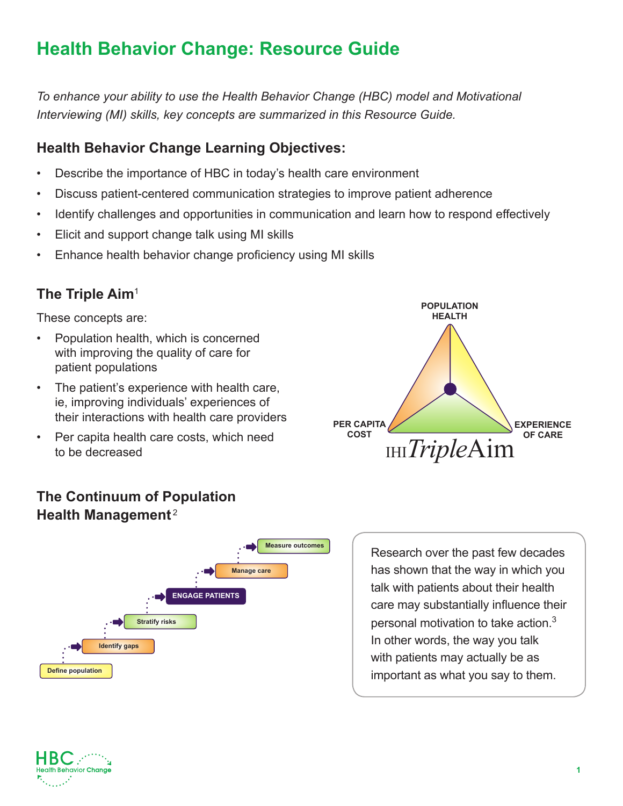*To enhance your ability to use the Health Behavior Change (HBC) model and Motivational Interviewing (MI) skills, key concepts are summarized in this Resource Guide.* 

## **Health Behavior Change Learning Objectives:**

- Describe the importance of HBC in today's health care environment
- Discuss patient-centered communication strategies to improve patient adherence
- Identify challenges and opportunities in communication and learn how to respond effectively
- Elicit and support change talk using MI skills
- Enhance health behavior change proficiency using MI skills

### **The Triple Aim**<sup>1</sup>

These concepts are:

- Population health, which is concerned with improving the quality of care for patient populations
- The patient's experience with health care, ie, improving individuals' experiences of their interactions with health care providers
- Per capita health care costs, which need to be decreased



## **The Continuum of Population Health Management** <sup>2</sup>



Research over the past few decades has shown that the way in which you talk with patients about their health care may substantially influence their personal motivation to take action.<sup>3</sup> In other words, the way you talk with patients may actually be as important as what you say to them.

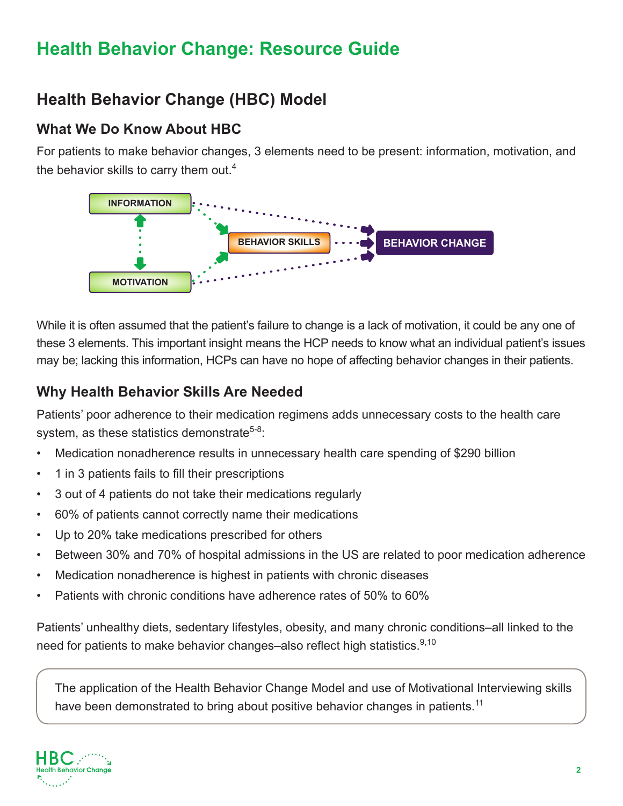# **Health Behavior Change (HBC) Model**

### **What We Do Know About HBC**

For patients to make behavior changes, 3 elements need to be present: information, motivation, and the behavior skills to carry them out.<sup>4</sup>



While it is often assumed that the patient's failure to change is a lack of motivation, it could be any one of these 3 elements. This important insight means the HCP needs to know what an individual patient's issues may be; lacking this information, HCPs can have no hope of affecting behavior changes in their patients.

### **Why Health Behavior Skills Are Needed**

Patients' poor adherence to their medication regimens adds unnecessary costs to the health care system, as these statistics demonstrate<sup>5-8</sup>:

- Medication nonadherence results in unnecessary health care spending of \$290 billion
- 1 in 3 patients fails to fill their prescriptions
- 3 out of 4 patients do not take their medications regularly
- 60% of patients cannot correctly name their medications
- Up to 20% take medications prescribed for others
- Between 30% and 70% of hospital admissions in the US are related to poor medication adherence
- Medication nonadherence is highest in patients with chronic diseases
- Patients with chronic conditions have adherence rates of 50% to 60%

Patients' unhealthy diets, sedentary lifestyles, obesity, and many chronic conditions–all linked to the need for patients to make behavior changes–also reflect high statistics.<sup>9,10</sup>

The application of the Health Behavior Change Model and use of Motivational Interviewing skills have been demonstrated to bring about positive behavior changes in patients.<sup>11</sup>

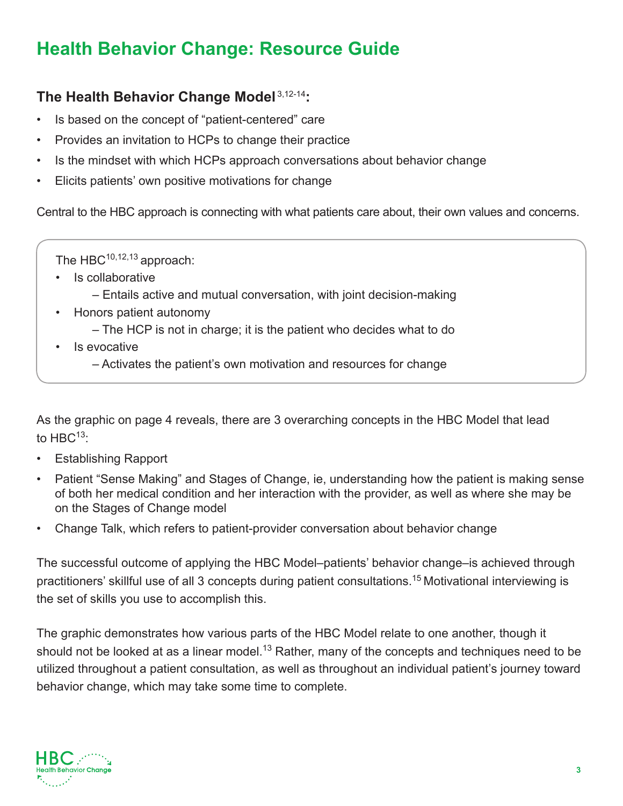## **The Health Behavior Change Model** 3,12-14**:**

- Is based on the concept of "patient-centered" care
- Provides an invitation to HCPs to change their practice
- Is the mindset with which HCPs approach conversations about behavior change
- Elicits patients' own positive motivations for change

Central to the HBC approach is connecting with what patients care about, their own values and concerns.

The  $HBC^{10,12,13}$  approach:

- Is collaborative
	- Entails active and mutual conversation, with joint decision-making
- Honors patient autonomy
	- The HCP is not in charge; it is the patient who decides what to do
- Is evocative
	- Activates the patient's own motivation and resources for change

As the graphic on page 4 reveals, there are 3 overarching concepts in the HBC Model that lead to  $HBC^{13}$ :

- Establishing Rapport
- Patient "Sense Making" and Stages of Change, ie, understanding how the patient is making sense of both her medical condition and her interaction with the provider, as well as where she may be on the Stages of Change model
- Change Talk, which refers to patient-provider conversation about behavior change

The successful outcome of applying the HBC Model–patients' behavior change–is achieved through practitioners' skillful use of all 3 concepts during patient consultations.<sup>15</sup> Motivational interviewing is the set of skills you use to accomplish this.

The graphic demonstrates how various parts of the HBC Model relate to one another, though it should not be looked at as a linear model.<sup>13</sup> Rather, many of the concepts and techniques need to be utilized throughout a patient consultation, as well as throughout an individual patient's journey toward behavior change, which may take some time to complete.

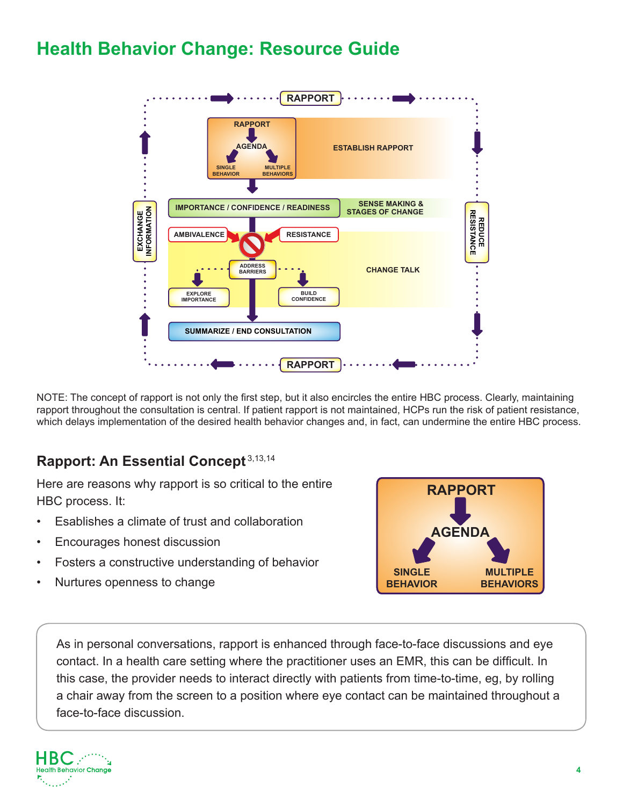

NOTE: The concept of rapport is not only the first step, but it also encircles the entire HBC process. Clearly, maintaining rapport throughout the consultation is central. If patient rapport is not maintained, HCPs run the risk of patient resistance, which delays implementation of the desired health behavior changes and, in fact, can undermine the entire HBC process.

## **Rapport: An Essential Concept** 3,13,14

Here are reasons why rapport is so critical to the entire HBC process. It:

- Esablishes a climate of trust and collaboration
- Encourages honest discussion
- Fosters a constructive understanding of behavior
- Nurtures openness to change



As in personal conversations, rapport is enhanced through face-to-face discussions and eye contact. In a health care setting where the practitioner uses an EMR, this can be difficult. In this case, the provider needs to interact directly with patients from time-to-time, eg, by rolling a chair away from the screen to a position where eye contact can be maintained throughout a face-to-face discussion.

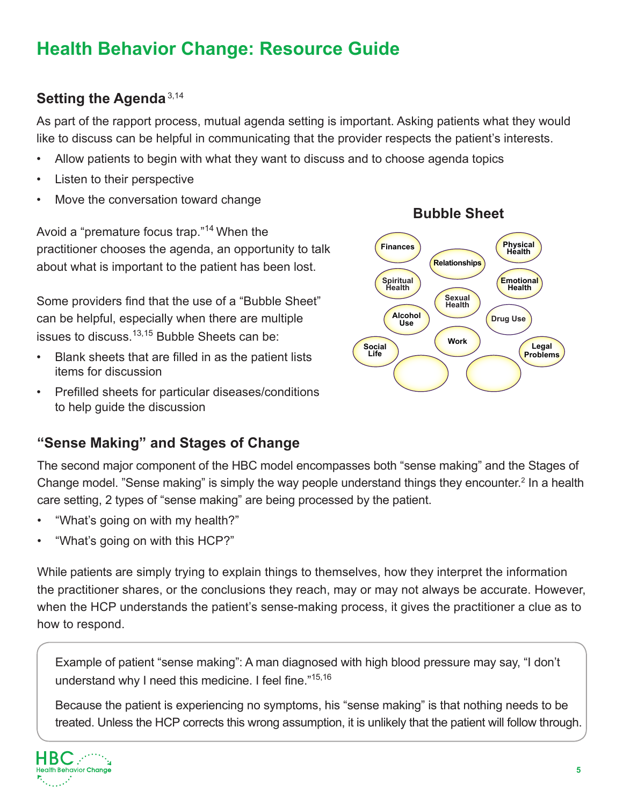## **Setting the Agenda**3,14

As part of the rapport process, mutual agenda setting is important. Asking patients what they would like to discuss can be helpful in communicating that the provider respects the patient's interests.

- Allow patients to begin with what they want to discuss and to choose agenda topics
- Listen to their perspective
- Move the conversation toward change

Avoid a "premature focus trap."14 When the practitioner chooses the agenda, an opportunity to talk about what is important to the patient has been lost.

Some providers find that the use of a "Bubble Sheet" can be helpful, especially when there are multiple issues to discuss.<sup>13,15</sup> Bubble Sheets can be:

- Blank sheets that are filled in as the patient lists items for discussion
- Prefilled sheets for particular diseases/conditions to help guide the discussion

## **"Sense Making" and Stages of Change**

The second major component of the HBC model encompasses both "sense making" and the Stages of Change model. "Sense making" is simply the way people understand things they encounter.<sup>2</sup> In a health care setting, 2 types of "sense making" are being processed by the patient.

- "What's going on with my health?"
- "What's going on with this HCP?"

While patients are simply trying to explain things to themselves, how they interpret the information the practitioner shares, or the conclusions they reach, may or may not always be accurate. However, when the HCP understands the patient's sense-making process, it gives the practitioner a clue as to how to respond.

Example of patient "sense making": A man diagnosed with high blood pressure may say, "I don't understand why I need this medicine. I feel fine."15,16

Because the patient is experiencing no symptoms, his "sense making" is that nothing needs to be treated. Unless the HCP corrects this wrong assumption, it is unlikely that the patient will follow through.



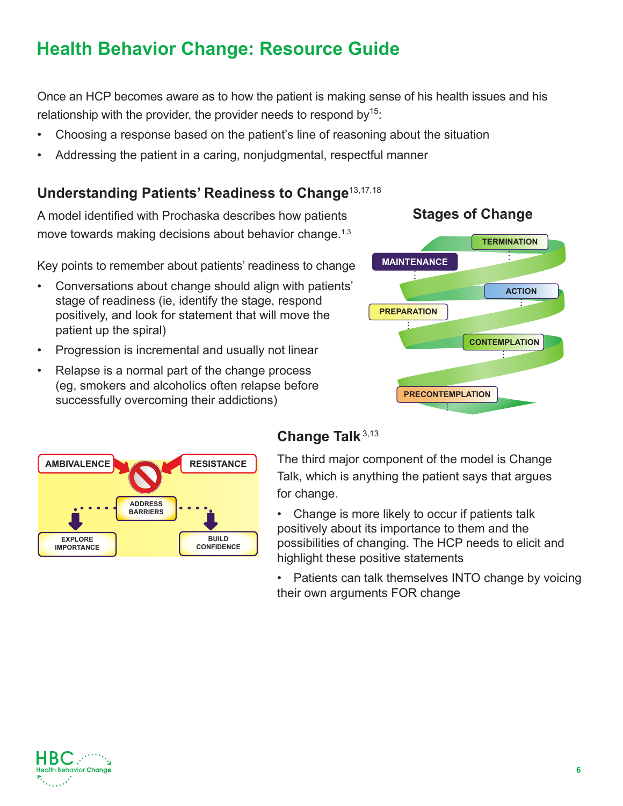Once an HCP becomes aware as to how the patient is making sense of his health issues and his relationship with the provider, the provider needs to respond by  $15$ .

- Choosing a response based on the patient's line of reasoning about the situation
- Addressing the patient in a caring, nonjudgmental, respectful manner

### **Understanding Patients' Readiness to Change**13,17,18

A model identified with Prochaska describes how patients move towards making decisions about behavior change.<sup>1,3</sup>

Key points to remember about patients' readiness to change

- Conversations about change should align with patients' stage of readiness (ie, identify the stage, respond positively, and look for statement that will move the patient up the spiral)
- Progression is incremental and usually not linear
- Relapse is a normal part of the change process (eg, smokers and alcoholics often relapse before successfully overcoming their addictions)





## **Change Talk**3,13

The third major component of the model is Change Talk, which is anything the patient says that argues for change.

- **•** Change is more likely to occur if patients talk positively about its importance to them and the possibilities of changing. The HCP needs to elicit and highlight these positive statements
- Patients can talk themselves INTO change by voicing their own arguments FOR change



# **Stages of Change**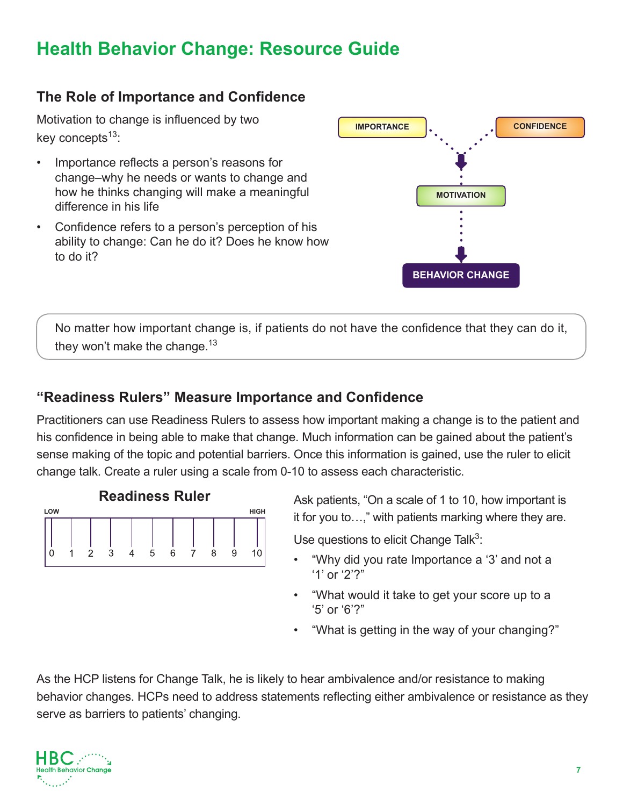## **The Role of Importance and Confidence**

Motivation to change is influenced by two key concepts $13$ :

- Importance reflects a person's reasons for change–why he needs or wants to change and how he thinks changing will make a meaningful difference in his life
- Confidence refers to a person's perception of his ability to change: Can he do it? Does he know how to do it?



No matter how important change is, if patients do not have the confidence that they can do it, they won't make the change.<sup>13</sup>

### **"Readiness Rulers" Measure Importance and Confidence**

Practitioners can use Readiness Rulers to assess how important making a change is to the patient and his confidence in being able to make that change. Much information can be gained about the patient's sense making of the topic and potential barriers. Once this information is gained, use the ruler to elicit change talk. Create a ruler using a scale from 0-10 to assess each characteristic.



Ask patients, "On a scale of 1 to 10, how important is it for you to…," with patients marking where they are.

Use questions to elicit Change Talk $3$ :

- "Why did you rate Importance a '3' and not a '1' or '2'?"
- "What would it take to get your score up to a '5' or '6'?"
- "What is getting in the way of your changing?"

As the HCP listens for Change Talk, he is likely to hear ambivalence and/or resistance to making behavior changes. HCPs need to address statements reflecting either ambivalence or resistance as they serve as barriers to patients' changing.

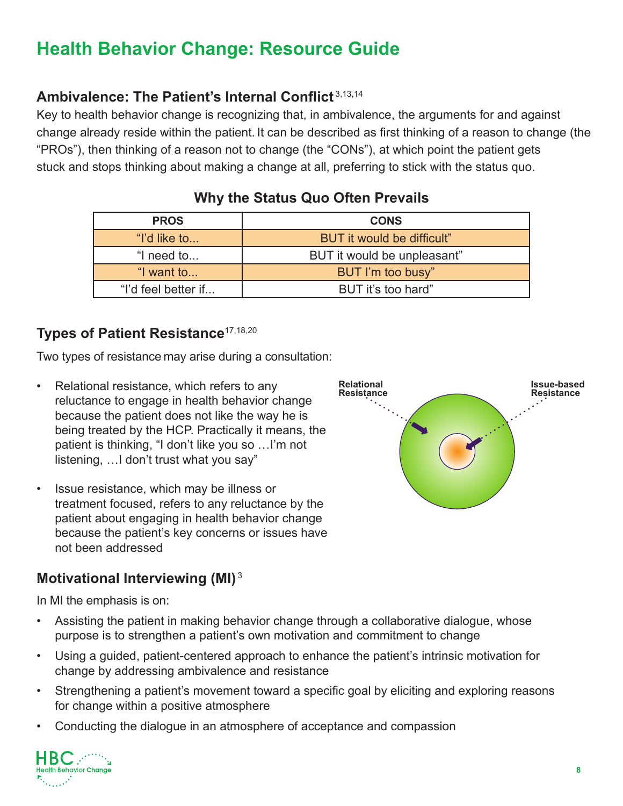## **Ambivalence: The Patient's Internal Conflict** 3,13,14

Key to health behavior change is recognizing that, in ambivalence, the arguments for and against change already reside within the patient. It can be described as first thinking of a reason to change (the "PROs"), then thinking of a reason not to change (the "CONs"), at which point the patient gets stuck and stops thinking about making a change at all, preferring to stick with the status quo.

| <b>PROS</b>         | <b>CONS</b>                 |
|---------------------|-----------------------------|
| "I'd like to        | BUT it would be difficult"  |
| "I need to          | BUT it would be unpleasant" |
| "I want to          | BUT I'm too busy"           |
| "I'd feel better if | BUT it's too hard"          |

## **Why the Status Quo Often Prevails**

#### **Types of Patient Resistance**17,18,20

Two types of resistance may arise during a consultation:

- Relational resistance, which refers to any reluctance to engage in health behavior change because the patient does not like the way he is being treated by the HCP. Practically it means, the patient is thinking, "I don't like you so …I'm not listening, …I don't trust what you say"
- Issue resistance, which may be illness or treatment focused, refers to any reluctance by the patient about engaging in health behavior change because the patient's key concerns or issues have not been addressed

### **Motivational Interviewing (MI)** <sup>3</sup>

In MI the emphasis is on:

- Assisting the patient in making behavior change through a collaborative dialogue, whose purpose is to strengthen a patient's own motivation and commitment to change
- Using a guided, patient-centered approach to enhance the patient's intrinsic motivation for change by addressing ambivalence and resistance
- Strengthening a patient's movement toward a specific goal by eliciting and exploring reasons for change within a positive atmosphere
- Conducting the dialogue in an atmosphere of acceptance and compassion



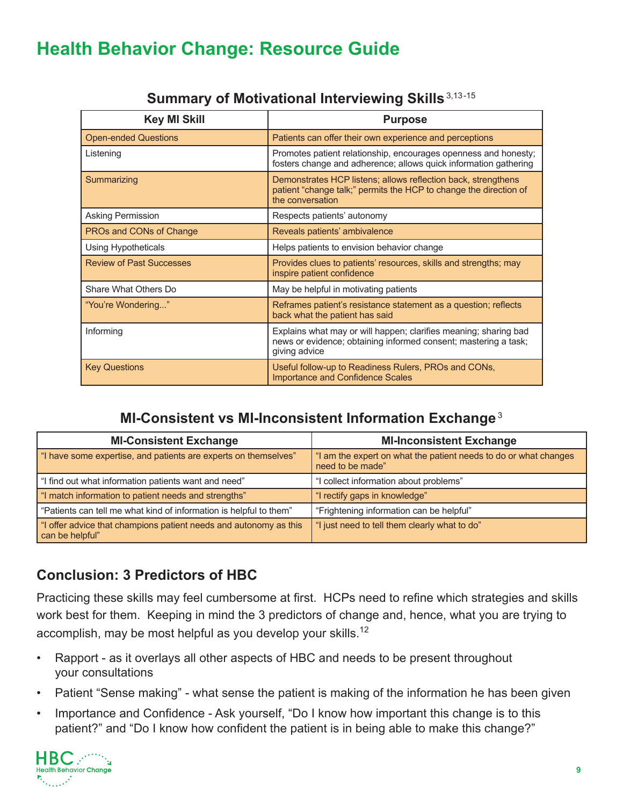| <b>Key MI Skill</b>             | <b>Purpose</b>                                                                                                                                         |
|---------------------------------|--------------------------------------------------------------------------------------------------------------------------------------------------------|
| <b>Open-ended Questions</b>     | Patients can offer their own experience and perceptions                                                                                                |
| Listening                       | Promotes patient relationship, encourages openness and honesty;<br>fosters change and adherence; allows quick information gathering                    |
| Summarizing                     | Demonstrates HCP listens; allows reflection back, strengthens<br>patient "change talk;" permits the HCP to change the direction of<br>the conversation |
| Asking Permission               | Respects patients' autonomy                                                                                                                            |
| PROs and CONs of Change         | Reveals patients' ambivalence                                                                                                                          |
| Using Hypotheticals             | Helps patients to envision behavior change                                                                                                             |
| <b>Review of Past Successes</b> | Provides clues to patients' resources, skills and strengths; may<br>inspire patient confidence                                                         |
| Share What Others Do            | May be helpful in motivating patients                                                                                                                  |
| "You're Wondering"              | Reframes patient's resistance statement as a question; reflects<br>back what the patient has said                                                      |
| Informing                       | Explains what may or will happen; clarifies meaning; sharing bad<br>news or evidence; obtaining informed consent; mastering a task;<br>giving advice   |
| <b>Key Questions</b>            | Useful follow-up to Readiness Rulers, PROs and CONs,<br><b>Importance and Confidence Scales</b>                                                        |

#### **Summary of Motivational Interviewing Skills** 3,13-15

### **MI-Consistent vs MI-Inconsistent Information Exchange**<sup>3</sup>

| <b>MI-Consistent Exchange</b>                                                        | <b>MI-Inconsistent Exchange</b>                                                      |
|--------------------------------------------------------------------------------------|--------------------------------------------------------------------------------------|
| "I have some expertise, and patients are experts on themselves"                      | "I am the expert on what the patient needs to do or what changes<br>need to be made" |
| "I find out what information patients want and need"                                 | "I collect information about problems"                                               |
| "I match information to patient needs and strengths"                                 | "I rectify gaps in knowledge"                                                        |
| "Patients can tell me what kind of information is helpful to them"                   | "Frightening information can be helpful"                                             |
| "I offer advice that champions patient needs and autonomy as this<br>can be helpful" | "I just need to tell them clearly what to do"                                        |

## **Conclusion: 3 Predictors of HBC**

Practicing these skills may feel cumbersome at first. HCPs need to refine which strategies and skills work best for them. Keeping in mind the 3 predictors of change and, hence, what you are trying to accomplish, may be most helpful as you develop your skills.<sup>12</sup>

- Rapport as it overlays all other aspects of HBC and needs to be present throughout your consultations
- Patient "Sense making" what sense the patient is making of the information he has been given
- Importance and Confidence Ask yourself, "Do I know how important this change is to this patient?" and "Do I know how confident the patient is in being able to make this change?"

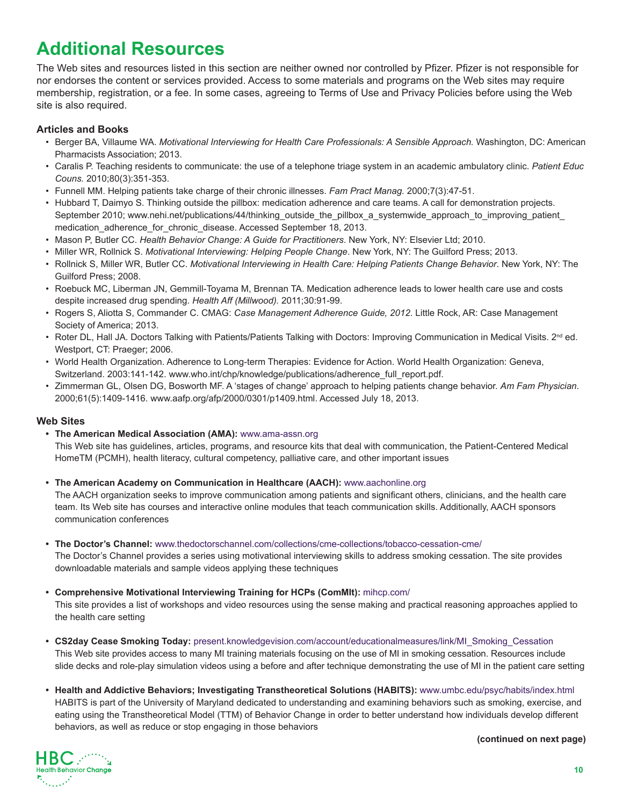# **Additional Resources**

The Web sites and resources listed in this section are neither owned nor controlled by Pfizer. Pfizer is not responsible for nor endorses the content or services provided. Access to some materials and programs on the Web sites may require membership, registration, or a fee. In some cases, agreeing to Terms of Use and Privacy Policies before using the Web site is also required.

#### **Articles and Books**

- Berger BA, Villaume WA. *Motivational Interviewing for Health Care Professionals: A Sensible Approach.* Washington, DC: American Pharmacists Association; 2013.
- Caralis P. Teaching residents to communicate: the use of a telephone triage system in an academic ambulatory clinic. *Patient Educ Couns.* 2010;80(3):351-353.
- Funnell MM. Helping patients take charge of their chronic illnesses. *Fam Pract Manag.* 2000;7(3):47-51.
- Hubbard T, Daimyo S. Thinking outside the pillbox: medication adherence and care teams. A call for demonstration projects. September 2010; www.nehi.net/publications/44/thinking\_outside\_the\_pillbox\_a\_systemwide\_approach\_to\_improving\_patient medication\_adherence\_for\_chronic\_disease. Accessed September 18, 2013.
- Mason P, Butler CC. *Health Behavior Change: A Guide for Practitioners*. New York, NY: Elsevier Ltd; 2010.
- Miller WR, Rollnick S. *Motivational Interviewing: Helping People Change*. New York, NY: The Guilford Press; 2013.
- Rollnick S, Miller WR, Butler CC. *Motivational Interviewing in Health Care: Helping Patients Change Behavior*. New York, NY: The Guilford Press; 2008.
- Roebuck MC, Liberman JN, Gemmill-Toyama M, Brennan TA. Medication adherence leads to lower health care use and costs despite increased drug spending. *Health Aff (Millwood).* 2011;30:91-99.
- Rogers S, Aliotta S, Commander C. CMAG: *Case Management Adherence Guide, 2012*. Little Rock, AR: Case Management Society of America; 2013.
- Roter DL, Hall JA. Doctors Talking with Patients/Patients Talking with Doctors: Improving Communication in Medical Visits. 2<sup>nd</sup> ed. Westport, CT: Praeger; 2006.
- World Health Organization. Adherence to Long-term Therapies: Evidence for Action. World Health Organization: Geneva, Switzerland. 2003:141-142. www.who.int/chp/knowledge/publications/adherence\_full\_report.pdf.
- Zimmerman GL, Olsen DG, Bosworth MF. A 'stages of change' approach to helping patients change behavior. *Am Fam Physician*. 2000;61(5):1409-1416. www.aafp.org/afp/2000/0301/p1409.html. Accessed July 18, 2013.

#### **Web Sites**

**• The American Medical Association (AMA):** www.ama-assn.org

This Web site has guidelines, articles, programs, and resource kits that deal with communication, the Patient-Centered Medical HomeTM (PCMH), health literacy, cultural competency, palliative care, and other important issues

**• The American Academy on Communication in Healthcare (AACH):** www.aachonline.org

The AACH organization seeks to improve communication among patients and significant others, clinicians, and the health care team. Its Web site has courses and interactive online modules that teach communication skills. Additionally, AACH sponsors communication conferences

**• The Doctor's Channel:** www.thedoctorschannel.com/collections/cme-collections/tobacco-cessation-cme/

The Doctor's Channel provides a series using motivational interviewing skills to address smoking cessation. The site provides downloadable materials and sample videos applying these techniques

**• Comprehensive Motivational Interviewing Training for HCPs (ComMIt):** [mihcp.com/](http://mihcp.com)

This site provides a list of workshops and video resources using the sense making and practical reasoning approaches applied to the health care setting

- **• CS2day Cease Smoking Today:** [present.knowledgevision.com/account/educationalmeasures/link/MI\\_Smoking\\_Cessation](http://present.knowledgevision.com/account/educationalmeasures/link/MI_Smoking_Cessation) This Web site provides access to many MI training materials focusing on the use of MI in smoking cessation. Resources include slide decks and role-play simulation videos using a before and after technique demonstrating the use of MI in the patient care setting
- **• Health and Addictive Behaviors; Investigating Transtheoretical Solutions (HABITS):** www.umbc.edu/psyc/habits/index.html HABITS is part of the University of Maryland dedicated to understanding and examining behaviors such as smoking, exercise, and eating using the Transtheoretical Model (TTM) of Behavior Change in order to better understand how individuals develop different behaviors, as well as reduce or stop engaging in those behaviors

**(continued on next page)**

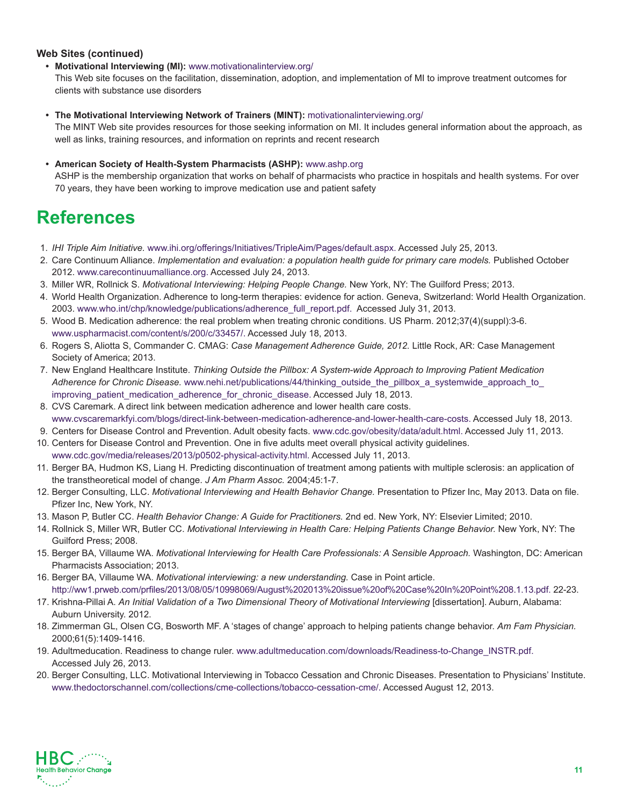#### **Web Sites (continued)**

#### **• Motivational Interviewing (MI):** www.motivationalinterview.org/

This Web site focuses on the facilitation, dissemination, adoption, and implementation of MI to improve treatment outcomes for clients with substance use disorders

**• The Motivational Interviewing Network of Trainers (MINT):** [motivationalinterviewing.org/](http://www.motivationalinterviewing.org)

The MINT Web site provides resources for those seeking information on MI. It includes general information about the approach, as well as links, training resources, and information on reprints and recent research

#### **• American Society of Health-System Pharmacists (ASHP):** www.ashp.org

ASHP is the membership organization that works on behalf of pharmacists who practice in hospitals and health systems. For over 70 years, they have been working to improve medication use and patient safety

# **References**

- 1. *IHI Triple Aim Initiative.* www.ihi.org/offerings/Initiatives/TripleAim/Pages/default.aspx. Accessed July 25, 2013.
- 2. Care Continuum Alliance. *Implementation and evaluation: a population health guide for primary care models*. Published October 2012. www.carecontinuumalliance.org. Accessed July 24, 2013.
- 3. Miller WR, Rollnick S. *Motivational Interviewing: Helping People Change.* New York, NY: The Guilford Press; 2013.
- 4. World Health Organization. Adherence to long-term therapies: evidence for action. Geneva, Switzerland: World Health Organization. 2003. www.who.int/chp/knowledge/publications/adherence\_full\_report.pdf. Accessed July 31, 2013.
- 5. Wood B. Medication adherence: the real problem when treating chronic conditions. US Pharm. 2012;37(4)(suppl):3-6. www.uspharmacist.com/content/s/200/c/33457/. Accessed July 18, 2013.
- 6. Rogers S, Aliotta S, Commander C. CMAG: *Case Management Adherence Guide, 2012.* Little Rock, AR: Case Management Society of America; 2013.
- 7. New England Healthcare Institute. *Thinking Outside the Pillbox: A System-wide Approach to Improving Patient Medication*  Adherence for Chronic Disease. www.nehi.net/publications/44/thinking\_outside\_the\_pillbox\_a\_systemwide\_approach\_to improving\_patient\_medication\_adherence\_for\_chronic\_disease. Accessed July 18, 2013.
- 8. CVS Caremark. A direct link between medication adherence and lower health care costs. www.cvscaremarkfyi.com/blogs/direct-link-between-medication-adherence-and-lower-health-care-costs. Accessed July 18, 2013.
- 9. Centers for Disease Control and Prevention. Adult obesity facts. www.cdc.gov/obesity/data/adult.html. Accessed July 11, 2013.
- 10. Centers for Disease Control and Prevention. One in five adults meet overall physical activity guidelines. www.cdc.gov/media/releases/2013/p0502-physical-activity.html. Accessed July 11, 2013.
- 11. Berger BA, Hudmon KS, Liang H. Predicting discontinuation of treatment among patients with multiple sclerosis: an application of the transtheoretical model of change. *J Am Pharm Assoc.* 2004;45:1-7.
- 12. Berger Consulting, LLC. *Motivational Interviewing and Health Behavior Change.* Presentation to Pfizer Inc, May 2013. Data on file. Pfizer Inc, New York, NY.
- 13. Mason P, Butler CC. *Health Behavior Change: A Guide for Practitioners.* 2nd ed. New York, NY: Elsevier Limited; 2010.
- 14. Rollnick S, Miller WR, Butler CC. *Motivational Interviewing in Health Care: Helping Patients Change Behavior*. New York, NY: The Guilford Press; 2008.
- 15. Berger BA, Villaume WA. *Motivational Interviewing for Health Care Professionals: A Sensible Approach.* Washington, DC: American Pharmacists Association; 2013.
- 16. Berger BA, Villaume WA. *Motivational interviewing: a new understanding.* Case in Point article. http://ww1.prweb.com/prfiles/2013/08/05/10998069/August%202013%20issue%20of%20Case%20In%20Point%208.1.13.pdf. 22-23.
- 17. Krishna-Pillai A. *An Initial Validation of a Two Dimensional Theory of Motivational Interviewing* [dissertation]. Auburn, Alabama: Auburn University. 2012.
- 18. Zimmerman GL, Olsen CG, Bosworth MF. A 'stages of change' approach to helping patients change behavior. *Am Fam Physician.* 2000;61(5):1409-1416.
- 19. Adultmeducation. Readiness to change ruler. www.adultmeducation.com/downloads/Readiness-to-Change\_INSTR.pdf. Accessed July 26, 2013.
- 20. Berger Consulting, LLC. Motivational Interviewing in Tobacco Cessation and Chronic Diseases. Presentation to Physicians' Institute. www.thedoctorschannel.com/collections/cme-collections/tobacco-cessation-cme/. Accessed August 12, 2013.